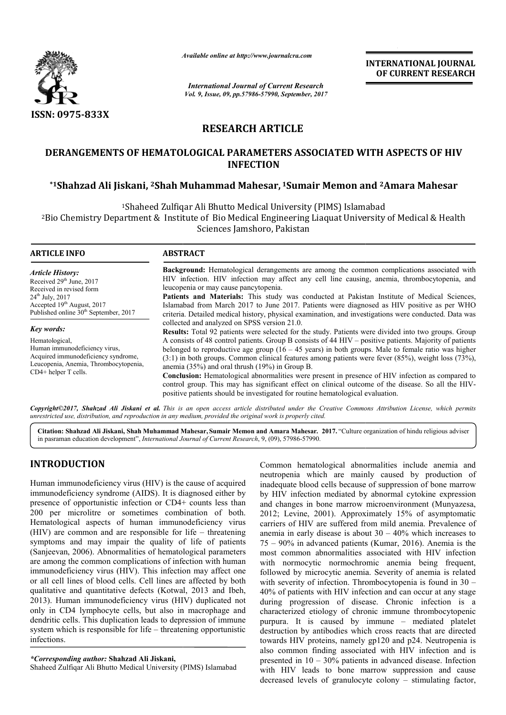

*Available online at http://www.journalcra.com*

*International Journal of Current Research Vol. 9, Issue, 09, pp.57986-57990, September, 2017* **INTERNATIONAL JOURNAL OF CURRENT RESEARCH**

# **RESEARCH ARTICLE**

# **DERANGEMENTS OF HEMATOLOGICAL PARAMETERS ASSOCIATED WITH ASPECTS OF HIV \*1Shahzad Ali Jiskani, 2Shah Muhammad Mahesar, Shah 1Sumair Memon and PARAMETERS ASSOCIATED WITH HIV Sumair 2Amara Mahesar INFECTION**

<sup>1</sup>Shaheed Zulfiqar Ali Bhutto Medical University (PIMS) Islamabad <sup>2</sup>Bio Chemistry Department & Institute of Bio Medical Engineering Liaquat University of Medical & Health Sciences Jamshoro, Pakistan

| <b>ARTICLE INFO</b>                                                                                                                                                                                      | <b>ABSTRACT</b>                                                                                                                                                                                                                                                                                                                                                                                                                                                                                                                                                                                                                                                                                                                                                                                           |
|----------------------------------------------------------------------------------------------------------------------------------------------------------------------------------------------------------|-----------------------------------------------------------------------------------------------------------------------------------------------------------------------------------------------------------------------------------------------------------------------------------------------------------------------------------------------------------------------------------------------------------------------------------------------------------------------------------------------------------------------------------------------------------------------------------------------------------------------------------------------------------------------------------------------------------------------------------------------------------------------------------------------------------|
| <b>Article History:</b><br>Received 29 <sup>th</sup> June, 2017<br>Received in revised form<br>$24^{th}$ July, $2017$<br>Accepted 19th August, 2017<br>Published online 30 <sup>th</sup> September, 2017 | <b>Background:</b> Hematological derangements are among the common complications associated with<br>HIV infection. HIV infection may affect any cell line causing, anemia, thrombocytopenia, and<br>leucopenia or may cause pancytopenia.<br><b>Patients and Materials:</b> This study was conducted at Pakistan Institute of Medical Sciences,<br>Islamabad from March 2017 to June 2017. Patients were diagnosed as HIV positive as per WHO<br>criteria. Detailed medical history, physical examination, and investigations were conducted. Data was                                                                                                                                                                                                                                                    |
| Key words:                                                                                                                                                                                               | collected and analyzed on SPSS version 21.0.                                                                                                                                                                                                                                                                                                                                                                                                                                                                                                                                                                                                                                                                                                                                                              |
| Hematological,<br>Human immunodeficiency virus,<br>Acquired immunodeficiency syndrome,<br>Leucopenia, Anemia, Thrombocytopenia,<br>$CD4+$ helper T cells.                                                | <b>Results:</b> Total 92 patients were selected for the study. Patients were divided into two groups. Group<br>A consists of 48 control patients. Group B consists of 44 HIV – positive patients. Majority of patients<br>belonged to reproductive age group $(16 - 45$ years) in both groups. Male to female ratio was higher<br>$(3:1)$ in both groups. Common clinical features among patients were fever $(85\%)$ , weight loss $(73\%)$ .<br>anemia $(35\%)$ and oral thrush $(19\%)$ in Group B.<br><b>Conclusion:</b> Hematological abnormalities were present in presence of HIV infection as compared to<br>control group. This may has significant effect on clinical outcome of the disease. So all the HIV-<br>positive patients should be investigated for routine hematological evaluation. |

Copyright©2017, Shahzad Ali Jiskani et al. This is an open access article distributed under the Creative Commons Attribution License, which permits unrestricted use, distribution, and reproduction in any medium, provided the original work is properly cited.

Citation: Shahzad Ali Jiskani, Shah Muhammad Mahesar, Sumair Memon and Amara Mahesar. 2017. "Culture organization of hindu religious adviser in pasraman education development", *International Journal of Current Research* , 9, (09), 57986-57990.

## **INTRODUCTION**

Human immunodeficiency virus (HIV) is the cause of acquired immunodeficiency syndrome (AIDS). It is diagnosed either by presence of opportunistic infection or CD4+ counts less than 200 per microlitre or sometimes combination of both. Hematological aspects of human immunodeficiency virus (HIV) are common and are responsible for life – threatening symptoms and may impair the quality of life of patients (Sanjeevan, 2006). Abnormalities of hematological parameters are among the common complications of infection with human immunodeficiency virus (HIV). This infection may affect one or all cell lines of blood cells. Cell lines are affected by both qualitative and quantitative defects (Kotwal, 2013 and Ibeh, 2013). Human immunodeficiency virus (HIV) duplicated not only in CD4 lymphocyte cells, but also in macrophage and dendritic cells. This duplication leads to depression of immune system which is responsible for life – threatening opportunistic infections.

Shaheed Zulfiqar Ali Bhutto Medical University (PIMS) Islamabad

Common hematological abnormalities include anemia and<br>neutropenia which are mainly caused by production of<br>It is diagnosed either by by HIV infection mediated by abnormal cytokine expression<br>rCD4+ counts less than<br>and cha neutropenia which are mainly caused by production of inadequate blood cells because of suppression of bone marrow by HIV infection mediated by abnormal cytokine expression and changes in bone marrow microenvironment (Munyazesa, 2012; Levine, 2001). Approximately 15% of asymptomatic carriers of HIV are suffered from mild anemia. Prevalence of 2012; Levine, 2001). Approximately 15% of asymptomatic carriers of HIV are suffered from mild anemia. Prevalence of anemia in early disease is about  $30 - 40\%$  which increases to 75 – 90% in advanced patients (Kumar, 2016). Anemia is the most common abnormalities associated with HIV infection with normocytic normochromic anemia being frequent, followed by microcytic anemia. Severity of anemia is related followed by microcytic anemia. Severity of anemia is related with severity of infection. Thrombocytopenia is found in 30 – 40% of patients with HIV infection and can occur at any stage during progression of disease. Chronic infection is a characterized etiology of chronic immune thrombocytopenic purpura. It is caused by immune – mediated platelet destruction by antibodies which cross reacts that are directed towards HIV proteins, namely gp120 and p24. Neutropenia is also common finding associated with HIV infection and is presented in 10 – 30% patients in advanced disease. Infection with HIV leads to bone marrow suppression and cause destruction by antibodies which cross reacts that are directed towards HIV proteins, namely gp120 and p24. Neutropenia is also common finding associated with HIV infection and is presented in  $10 - 30\%$  patients in advanc normalities include anemia and<br>ainly caused by production of<br>se of suppression of bone marrow<br>by abnormal cytokine expression patients with HIV infection and can occur at any stage<br>progression of disease. Chronic infection is a<br>prized etiology of chronic immune thrombocytopenic<br>It is caused by immune – mediated platelet

*<sup>\*</sup>Corresponding author:* **Shahzad Ali Jiskani,**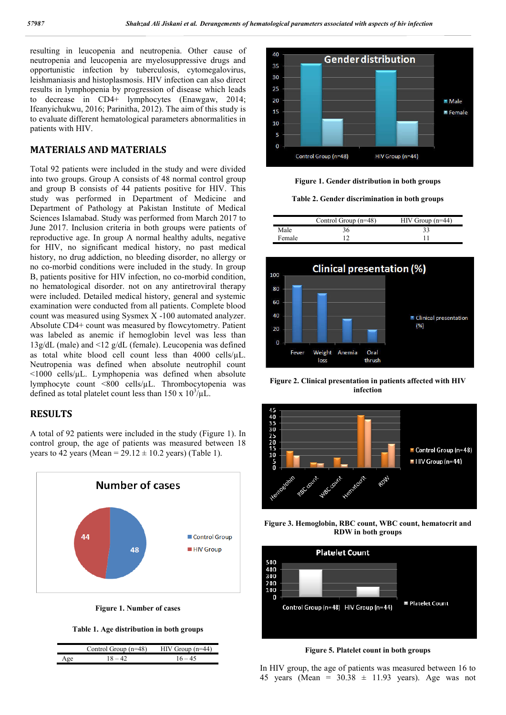resulting in leucopenia and neutropenia. Other cause of neutropenia and leucopenia are myelosuppressive drugs and opportunistic infection by tuberculosis, cytomegalovirus, leishmaniasis and histoplasmosis. HIV infection can also direct results in lymphopenia by progression of disease which leads to decrease in CD4+ lymphocytes (Enawgaw, 2014; Ifeanyichukwu, 2016; Parinitha, 2012). The aim of this study is to evaluate different hematological parameters abnormalities in patients with HIV.

### **MATERIALS AND MATERIALS**

Total 92 patients were included in the study and were divided into two groups. Group A consists of 48 normal control group and group B consists of 44 patients positive for HIV. This study was performed in Department of Medicine and Department of Pathology at Pakistan Institute of Medical Sciences Islamabad. Study was performed from March 2017 to June 2017. Inclusion criteria in both groups were patients of reproductive age. In group A normal healthy adults, negative for HIV, no significant medical history, no past medical history, no drug addiction, no bleeding disorder, no allergy or no co-morbid conditions were included in the study. In group B, patients positive for HIV infection, no co-morbid condition, no hematological disorder. not on any antiretroviral therapy were included. Detailed medical history, general and systemic examination were conducted from all patients. Complete blood count was measured using Sysmex X -100 automated analyzer. Absolute CD4+ count was measured by flowcytometry. Patient was labeled as anemic if hemoglobin level was less than 13g/dL (male) and <12 g/dL (female). Leucopenia was defined as total white blood cell count less than  $4000$  cells/ $\mu$ L. Neutropenia was defined when absolute neutrophil count  $\langle 1000 \text{ cells/}\mu L$ . Lymphopenia was defined when absolute lymphocyte count <800 cells/µL. Thrombocytopenia was defined as total platelet count less than  $150 \times 10^3/\mu L$ .

#### **RESULTS**

A total of 92 patients were included in the study (Figure 1). In control group, the age of patients was measured between 18 years to 42 years (Mean =  $29.12 \pm 10.2$  years) (Table 1).



**Figure 1. Number of cases**



| Control Group $(n=48)$ | $HIV$ Group (n=44) |
|------------------------|--------------------|
|                        |                    |



**Figure 1. Gender distribution in both groups**

**Table 2. Gender discrimination in both groups**

|        | Control Group $(n=48)$ | $HIV$ Group (n=44) |
|--------|------------------------|--------------------|
| Male   | 36                     |                    |
| Female |                        |                    |



**Figure 2. Clinical presentation in patients affected with HIV infection**



**Figure 3. Hemoglobin, RBC count, WBC count, hematocrit and RDW in both groups**



**Figure 5. Platelet count in both groups**

In HIV group, the age of patients was measured between 16 to 45 years (Mean =  $30.38 \pm 11.93$  years). Age was not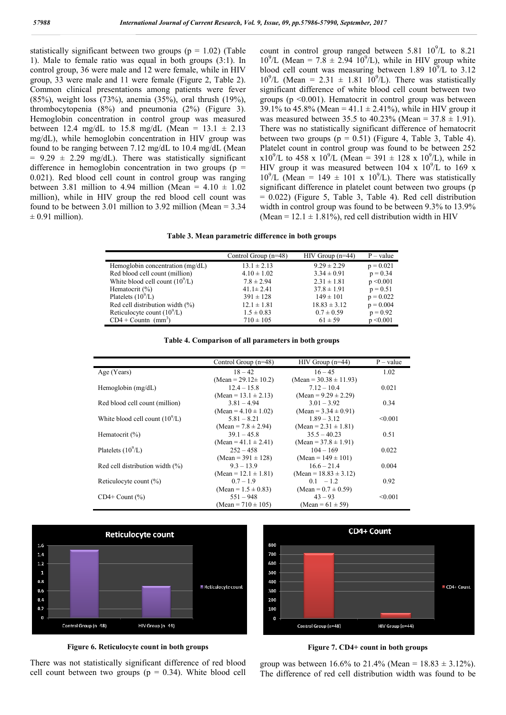statistically significant between two groups ( $p = 1.02$ ) (Table 1). Male to female ratio was equal in both groups (3:1). In control group, 36 were male and 12 were female, while in HIV group, 33 were male and 11 were female (Figure 2, Table 2). Common clinical presentations among patients were fever (85%), weight loss (73%), anemia (35%), oral thrush (19%), thrombocytopenia (8%) and pneumonia (2%) (Figure 3). Hemoglobin concentration in control group was measured between 12.4 mg/dL to 15.8 mg/dL (Mean =  $13.1 \pm 2.13$ ) mg/dL), while hemoglobin concentration in HIV group was found to be ranging between 7.12 mg/dL to 10.4 mg/dL (Mean  $= 9.29 \pm 2.29$  mg/dL). There was statistically significant difference in hemoglobin concentration in two groups ( $p =$ 0.021). Red blood cell count in control group was ranging between 3.81 million to 4.94 million (Mean =  $4.10 \pm 1.02$ ) million), while in HIV group the red blood cell count was found to be between 3.01 million to 3.92 million (Mean  $= 3.34$ )  $\pm$  0.91 million).

count in control group ranged between  $5.81 \cdot 10^9$ /L to  $8.21$  $10^{9}/L$  (Mean = 7.8  $\pm$  2.94  $10^{9}/L$ ), while in HIV group white blood cell count was measuring between 1.89  $10^9$ /L to 3.12  $10^9$ /L (Mean = 2.31  $\pm$  1.81  $10^9$ /L). There was statistically significant difference of white blood cell count between two groups ( $p \le 0.001$ ). Hematocrit in control group was between 39.1% to 45.8% (Mean = 41.1  $\pm$  2.41%), while in HIV group it was measured between 35.5 to 40.23% (Mean =  $37.8 \pm 1.91$ ). There was no statistically significant difference of hematocrit between two groups  $(p = 0.51)$  (Figure 4, Table 3, Table 4). Platelet count in control group was found to be between 252  $x10^9$ /L to 458 x 10<sup>9</sup>/L (Mean = 391  $\pm$  128 x 10<sup>9</sup>/L), while in HIV group it was measured between  $104 \times 10^9$ /L to  $169 \times$  $10^9$ /L (Mean = 149  $\pm$  101 x 10<sup>9</sup>/L). There was statistically significant difference in platelet count between two groups (p  $= 0.022$ ) (Figure 5, Table 3, Table 4). Red cell distribution width in control group was found to be between 9.3% to 13.9% (Mean =  $12.1 \pm 1.81\%$ ), red cell distribution width in HIV

**Table 3. Mean parametric difference in both groups**

|                                    | Control Group (n=48) | $HIV$ Group (n=44) | $P - value$   |
|------------------------------------|----------------------|--------------------|---------------|
| Hemoglobin concentration (mg/dL)   | $13.1 \pm 2.13$      | $9.29 \pm 2.29$    | $p = 0.021$   |
| Red blood cell count (million)     | $4.10 \pm 1.02$      | $3.34 \pm 0.91$    | $p = 0.34$    |
| White blood cell count $(109/L)$   | $7.8 \pm 2.94$       | $2.31 \pm 1.81$    | $p \le 0.001$ |
| Hematocrit (%)                     | $41.1 \pm 2.41$      | $37.8 \pm 1.91$    | $p = 0.51$    |
| Platelets $(109/L)$                | $391 \pm 128$        | $149 \pm 101$      | $p = 0.022$   |
| Red cell distribution width $(\%)$ | $12.1 \pm 1.81$      | $18.83 \pm 3.12$   | $p = 0.004$   |
| Reticulocyte count $(10^9/L)$      | $1.5 \pm 0.83$       | $0.7 \pm 0.59$     | $p = 0.92$    |
| $CD4 + Countn$ (mm <sup>3</sup> )  | $710 \pm 105$        | $61 \pm 59$        | $p \le 0.001$ |
|                                    |                      |                    |               |

**Table 4. Comparison of all parameters in both groups**

|                                    | Control Group $(n=48)$    | $HIV$ Group (n=44)         | $P - value$ |
|------------------------------------|---------------------------|----------------------------|-------------|
| Age (Years)                        | $18 - 42$                 | $16 - 45$                  | 1.02        |
|                                    | $(Mean = 29.12 \pm 10.2)$ | $(Mean = 30.38 \pm 11.93)$ |             |
| Hemoglobin $(mg/dL)$               | $12.4 - 15.8$             | $7.12 - 10.4$              | 0.021       |
|                                    | $(Mean = 13.1 \pm 2.13)$  | $(Mean = 9.29 \pm 2.29)$   |             |
| Red blood cell count (million)     | $3.81 - 4.94$             | $3.01 - 3.92$              | 0.34        |
|                                    | $(Mean = 4.10 \pm 1.02)$  | $(Mean = 3.34 \pm 0.91)$   |             |
| White blood cell count $(10^9/L)$  | $5.81 - 8.21$             | $1.89 - 3.12$              | < 0.001     |
|                                    | $(Mean = 7.8 \pm 2.94)$   | $(Mean = 2.31 \pm 1.81)$   |             |
| Hematocrit $(\%)$                  | $39.1 - 45.8$             | $35.5 - 40.23$             | 0.51        |
|                                    | $(Mean = 41.1 \pm 2.41)$  | $(Mean = 37.8 \pm 1.91)$   |             |
| Platelets $(10^9/L)$               | $252 - 458$               | $104 - 169$                | 0.022       |
|                                    | $(Mean = 391 \pm 128)$    | $(Mean = 149 \pm 101)$     |             |
| Red cell distribution width $(\%)$ | $9.3 - 13.9$              | $16.6 - 21.4$              | 0.004       |
|                                    | $(Mean = 12.1 \pm 1.81)$  | $(Mean = 18.83 \pm 3.12)$  |             |
| Reticulocyte count (%)             | $0.7 - 1.9$               | $0.1 - 1.2$                | 0.92        |
|                                    | (Mean = $1.5 \pm 0.83$ )  | $(Mean = 0.7 \pm 0.59)$    |             |
| $CD4+Count (%)$                    | $551 - 948$               | $43 - 93$                  | < 0.001     |
|                                    | (Mean = $710 \pm 105$ )   | (Mean = $61 \pm 59$ )      |             |



**Figure 6. Reticulocyte count in both groups**

There was not statistically significant difference of red blood cell count between two groups ( $p = 0.34$ ). White blood cell



**Figure 7. CD4+ count in both groups**

group was between 16.6% to 21.4% (Mean =  $18.83 \pm 3.12$ %). The difference of red cell distribution width was found to be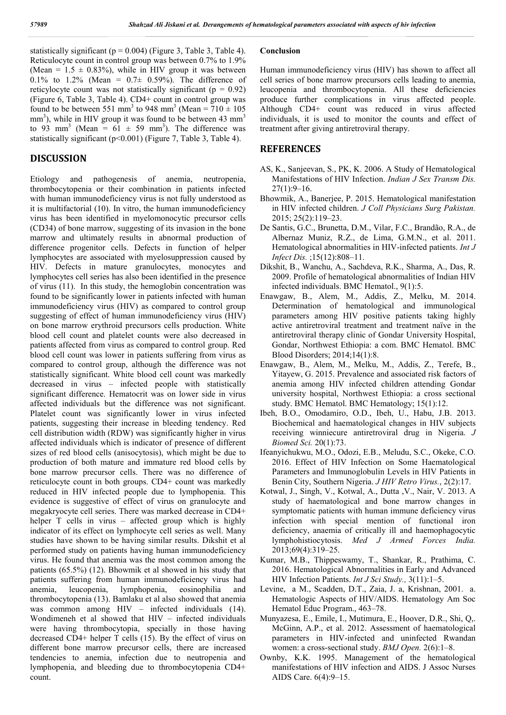statistically significant ( $p = 0.004$ ) (Figure 3, Table 3, Table 4). Reticulocyte count in control group was between 0.7% to 1.9% (Mean =  $1.5 \pm 0.83\%$ ), while in HIV group it was between 0.1% to 1.2% (Mean =  $0.7\pm$  0.59%). The difference of reticylocyte count was not statistically significant ( $p = 0.92$ ) (Figure 6, Table 3, Table 4). CD4+ count in control group was found to be between 551 mm<sup>3</sup> to 948 mm<sup>3</sup> (Mean =  $710 \pm 105$ ) mm<sup>3</sup>), while in HIV group it was found to be between 43 mm<sup>3</sup> to 93 mm<sup>3</sup> (Mean =  $61 \pm 59$  mm<sup>3</sup>). The difference was statistically significant (p<0.001) (Figure 7, Table 3, Table 4).

### **DISCUSSION**

Etiology and pathogenesis of anemia, neutropenia, thrombocytopenia or their combination in patients infected with human immunodeficiency virus is not fully understood as it is multifactorial (10). In vitro, the human immunodeficiency virus has been identified in myelomonocytic precursor cells (CD34) of bone marrow, suggesting of its invasion in the bone marrow and ultimately results in abnormal production of difference progenitor cells. Defects in function of helper lymphocytes are associated with myelosuppression caused by HIV. Defects in mature granulocytes, monocytes and lymphocytes cell series has also been identified in the presence of virus (11). In this study, the hemoglobin concentration was found to be significantly lower in patients infected with human immunodeficiency virus (HIV) as compared to control group suggesting of effect of human immunodeficiency virus (HIV) on bone marrow erythroid precursors cells production. White blood cell count and platelet counts were also decreased in patients affected from virus as compared to control group. Red blood cell count was lower in patients suffering from virus as compared to control group, although the difference was not statistically significant. White blood cell count was markedly decreased in virus – infected people with statistically significant difference. Hematocrit was on lower side in virus affected individuals but the difference was not significant. Platelet count was significantly lower in virus infected patients, suggesting their increase in bleeding tendency. Red cell distribution width (RDW) was significantly higher in virus affected individuals which is indicator of presence of different sizes of red blood cells (anisocytosis), which might be due to production of both mature and immature red blood cells by bone marrow precursor cells. There was no difference of reticulocyte count in both groups. CD4+ count was markedly reduced in HIV infected people due to lymphopenia. This evidence is suggestive of effect of virus on granulocyte and megakryocyte cell series. There was marked decrease in CD4+ helper T cells in virus – affected group which is highly indicator of its effect on lymphocyte cell series as well. Many studies have shown to be having similar results. Dikshit et al performed study on patients having human immunodeficiency virus. He found that anemia was the most common among the patients (65.5%) (12). Bhowmik et al showed in his study that patients suffering from human immunodeficiency virus had anemia, leucopenia, lymphopenia, eosinophilia and thrombocytopenia (13). Bamlaku et al also showed that anemia was common among HIV – infected individuals (14). Wondimeneh et al showed that HIV – infected individuals were having thrombocytopia, specially in those having decreased CD4+ helper T cells (15). By the effect of virus on different bone marrow precursor cells, there are increased tendencies to anemia, infection due to neutropenia and lymphopenia, and bleeding due to thrombocytopenia CD4+ count.

#### **Conclusion**

Human immunodeficiency virus (HIV) has shown to affect all cell series of bone marrow precursors cells leading to anemia, leucopenia and thrombocytopenia. All these deficiencies produce further complications in virus affected people. Although CD4+ count was reduced in virus affected individuals, it is used to monitor the counts and effect of treatment after giving antiretroviral therapy.

#### **REFERENCES**

- AS, K., Sanjeevan, S., PK, K. 2006. A Study of Hematological Manifestations of HIV Infection. *Indian J Sex Transm Dis.*  $27(1):9-16.$
- Bhowmik, A., Banerjee, P. 2015. Hematological manifestation in HIV infected children. *J Coll Physicians Surg Pakistan.* 2015; 25(2):119–23.
- De Santis, G.C., Brunetta, D.M., Vilar, F.C., Brandão, R.A., de Albernaz Muniz, R.Z., de Lima, G.M.N., et al. 2011. Hematological abnormalities in HIV-infected patients. *Int J Infect Dis.* ;15(12):808–11.
- Dikshit, B., Wanchu, A., Sachdeva, R.K., Sharma, A., Das, R. 2009. Profile of hematological abnormalities of Indian HIV infected individuals. BMC Hematol., 9(1):5.
- Enawgaw, B., Alem, M., Addis, Z., Melku, M. 2014. Determination of hematological and immunological parameters among HIV positive patients taking highly active antiretroviral treatment and treatment naïve in the antiretroviral therapy clinic of Gondar University Hospital, Gondar, Northwest Ethiopia: a com. BMC Hematol. BMC Blood Disorders; 2014;14(1):8.
- Enawgaw, B., Alem, M., Melku, M., Addis, Z., Terefe, B., Yitayew, G. 2015. Prevalence and associated risk factors of anemia among HIV infected children attending Gondar university hospital, Northwest Ethiopia: a cross sectional study. BMC Hematol. BMC Hematology; 15(1):12.
- Ibeh, B.O., Omodamiro, O.D., Ibeh, U., Habu, J.B. 2013. Biochemical and haematological changes in HIV subjects receiving winniecure antiretroviral drug in Nigeria. *J Biomed Sci.* 20(1):73.
- Ifeanyichukwu, M.O., Odozi, E.B., Meludu, S.C., Okeke, C.O. 2016. Effect of HIV Infection on Some Haematological Parameters and Immunoglobulin Levels in HIV Patients in Benin City, Southern Nigeria. *J HIV Retro Virus.*, 2(2):17.
- Kotwal, J., Singh, V., Kotwal, A., Dutta ,V., Nair, V. 2013. A study of haematological and bone marrow changes in symptomatic patients with human immune deficiency virus infection with special mention of functional iron deficiency, anaemia of critically ill and haemophagocytic lymphohistiocytosis. *Med J Armed Forces India.* 2013;69(4):319–25.
- Kumar, M.B., Thippeswamy, T., Shankar, R., Prathima, C. 2016. Hematological Abnormalities in Early and Advanced HIV Infection Patients. *Int J Sci Study.,* 3(11):1–5.
- Levine, a M., Scadden, D.T., Zaia, J. a, Krishnan, 2001. a. Hematologic Aspects of HIV/AIDS. Hematology Am Soc Hematol Educ Program., 463–78.
- Munyazesa, E., Emile, I., Mutimura, E., Hoover, D.R., Shi, Q,. McGinn, A.P., et al. 2012. Assessment of haematological parameters in HIV-infected and uninfected Rwandan women: a cross-sectional study. *BMJ Open.* 2(6):1–8.
- Ownby, K.K. 1995. Management of the hematological manifestations of HIV infection and AIDS. J Assoc Nurses AIDS Care. 6(4):9–15.